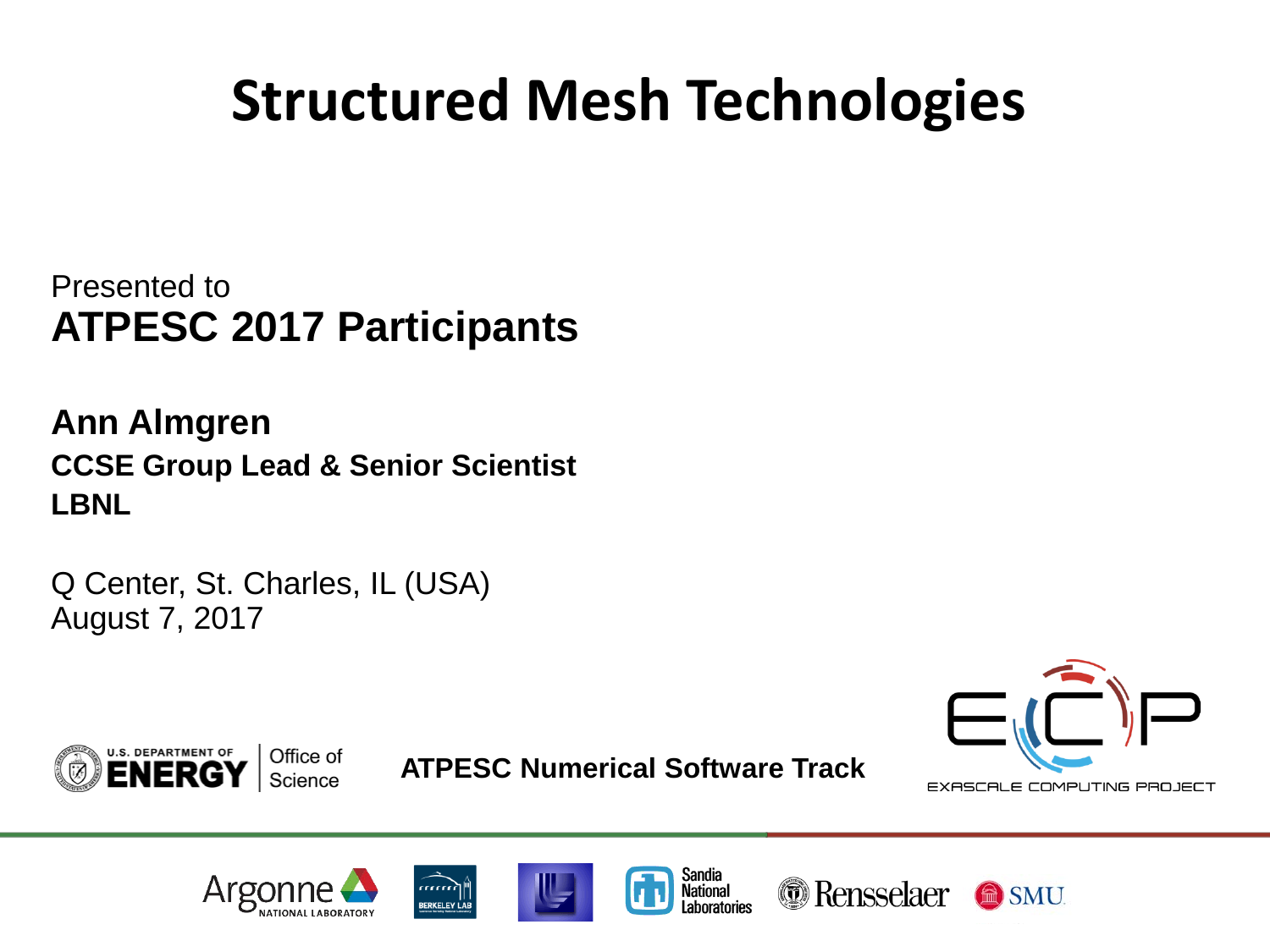## **Structured Mesh Technologies**

Presented to **ATPESC 2017 Participants**

**Ann Almgren CCSE Group Lead & Senior Scientist LBNL**

Q Center, St. Charles, IL (USA) August 7, 2017





**ATPESC Numerical Software Track**











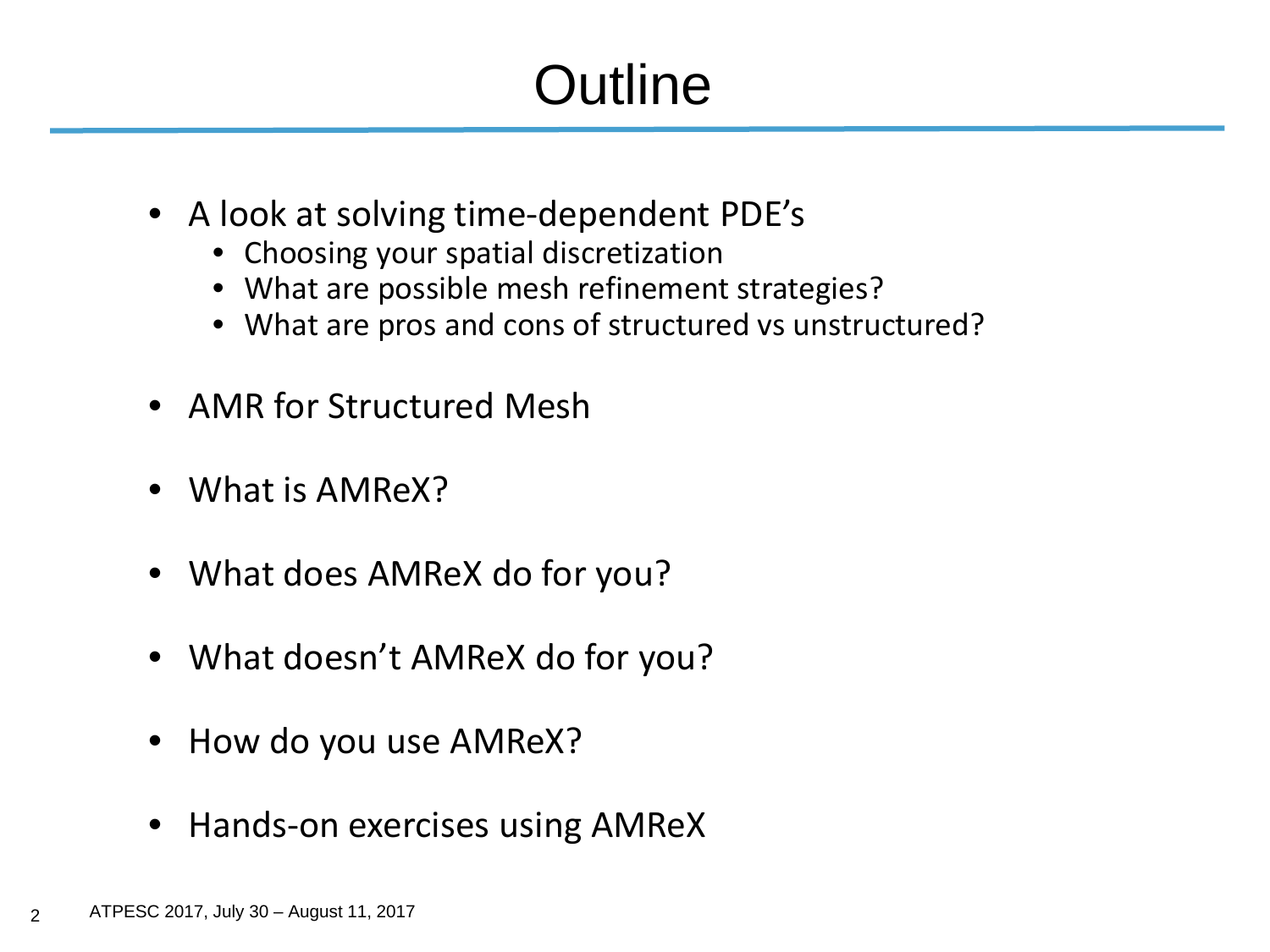## **Outline**

- A look at solving time-dependent PDE's
	- Choosing your spatial discretization
	- What are possible mesh refinement strategies?
	- What are pros and cons of structured vs unstructured?
- AMR for Structured Mesh
- What is AMReX?
- What does AMReX do for you?
- What doesn't AMReX do for you?
- How do you use AMReX?
- Hands-on exercises using AMReX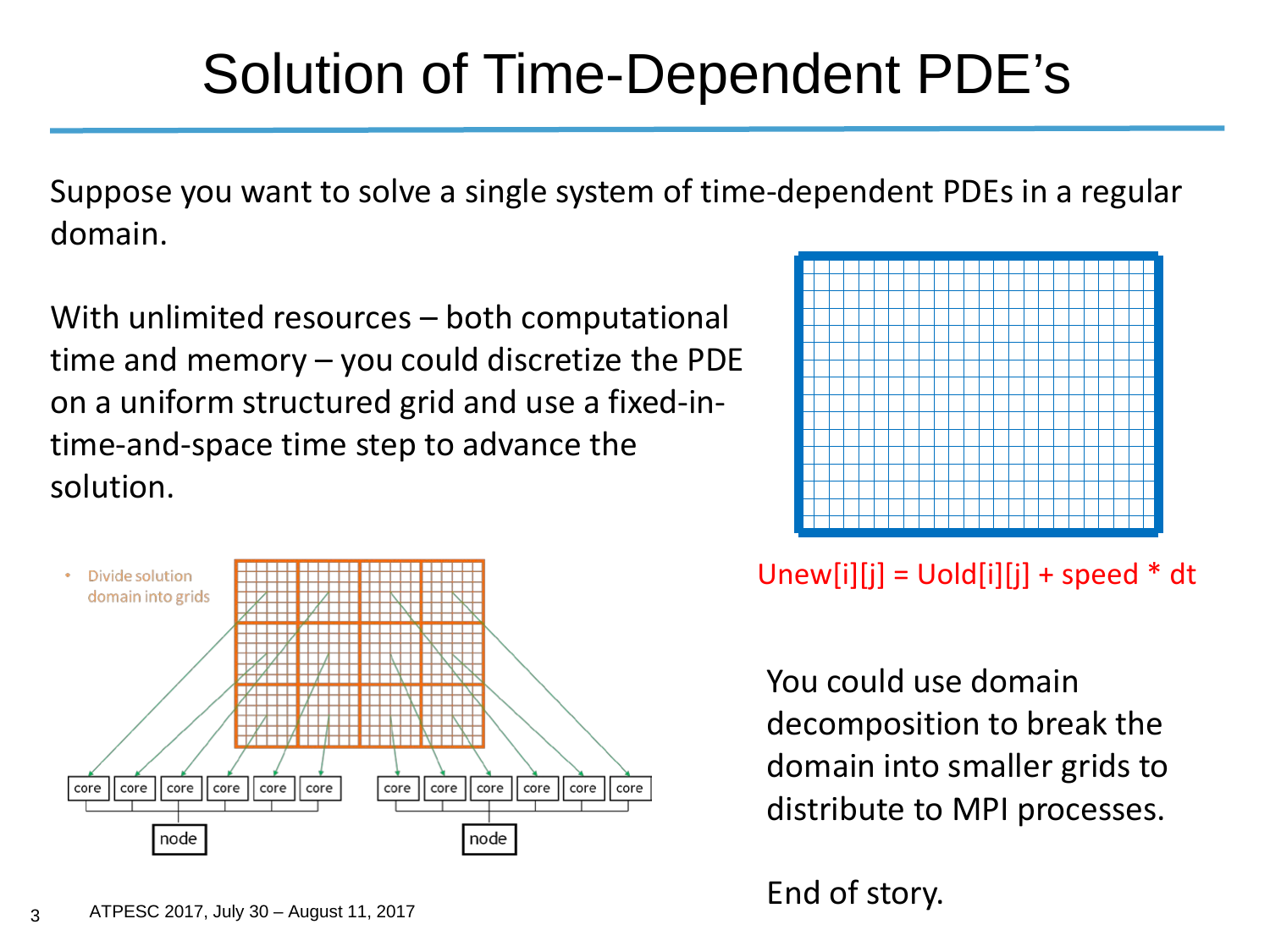#### Solution of Time-Dependent PDE's

Suppose you want to solve a single system of time-dependent PDEs in a regular domain.

With unlimited resources – both computational time and memory – you could discretize the PDE on a uniform structured grid and use a fixed-intime-and-space time step to advance the solution.





Unew[i][j] =  $U$ old[i][j] + speed  $*$  dt

You could use domain decomposition to break the domain into smaller grids to distribute to MPI processes.

End of story.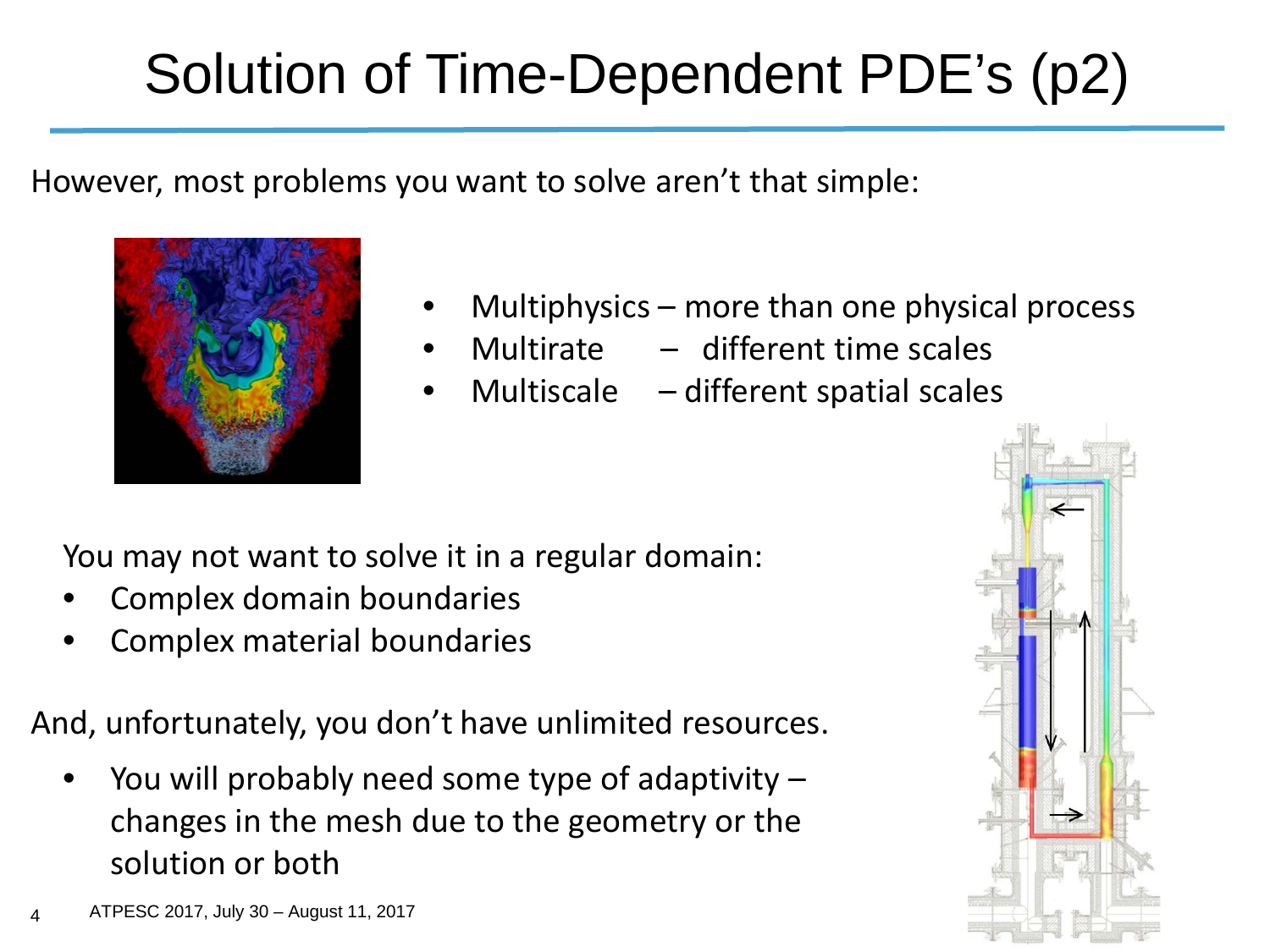# Solution of Time-Dependent PDE's (p2)

However, most problems you want to solve aren't that simple:



- Multiphysics more than one physical process
- Multirate  $-$  different time scales
	- Multiscale  $-$  different spatial scales

You may not want to solve it in a regular domain:

- Complex domain boundaries
- Complex material boundaries

And, unfortunately, you don't have unlimited resources.

You will probably need some type of adaptivity  $$ changes in the mesh due to the geometry or the solution or both

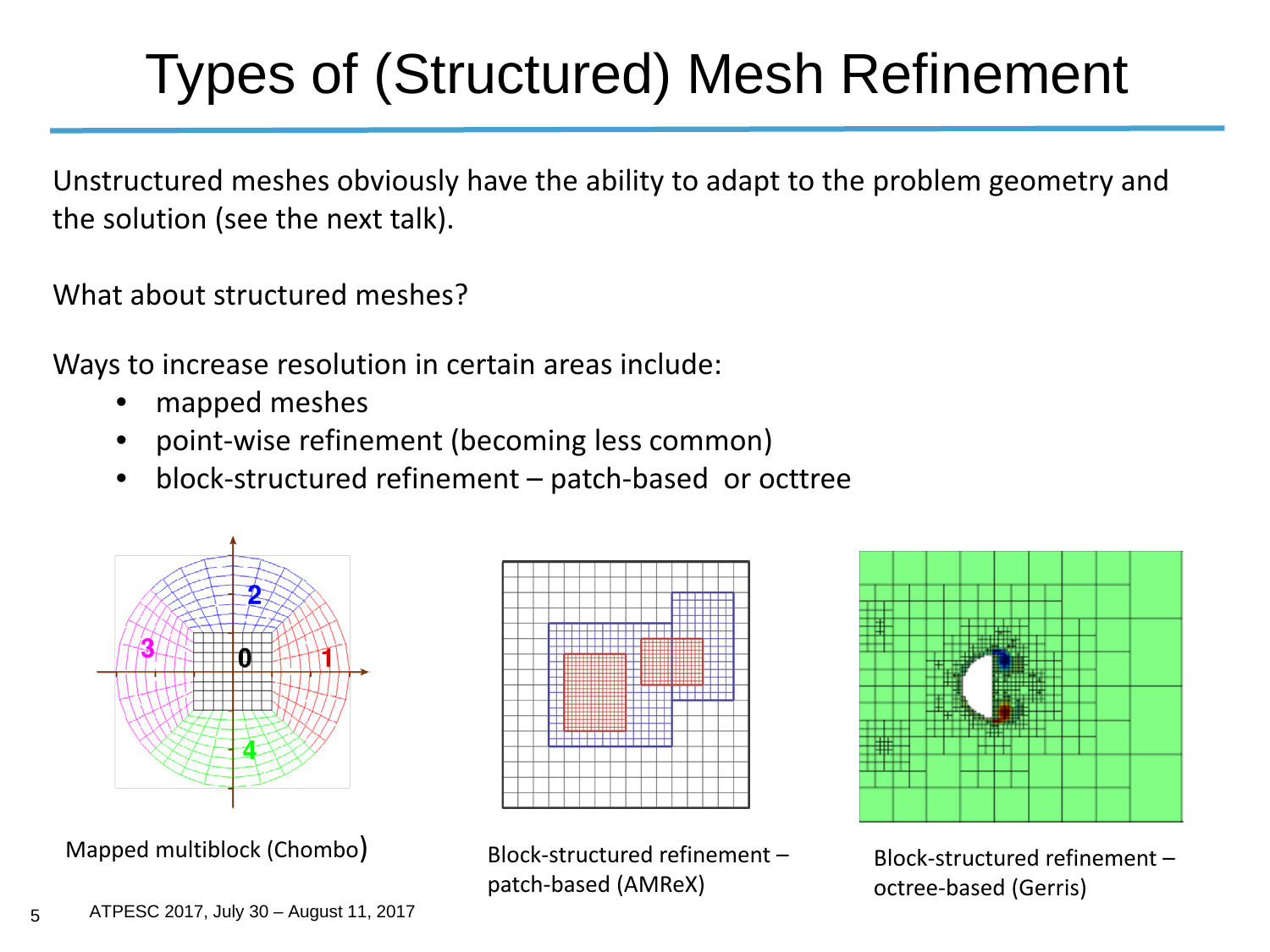## Types of (Structured) Mesh Refinement

Unstructured meshes obviously have the ability to adapt to the problem geometry and the solution (see the next talk).

What about structured meshes?

Ways to increase resolution in certain areas include:

- mapped meshes
- point-wise refinement (becoming less common)
- block-structured refinement patch-based or octtree



Mapped multiblock (Chombo) Block-structured refinement –



patch-based (AMReX)



Block-structured refinement – octree-based (Gerris)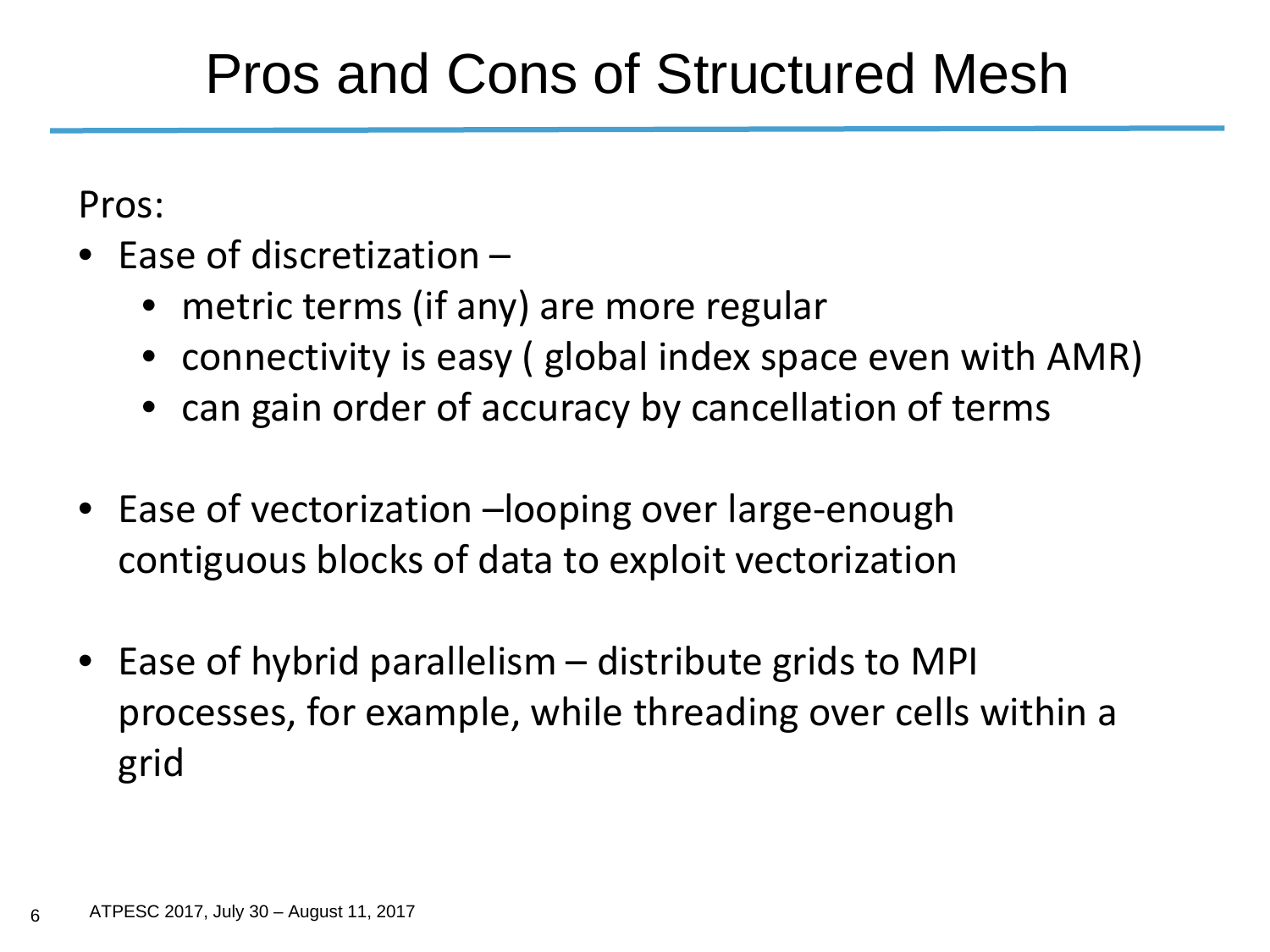#### Pros and Cons of Structured Mesh

Pros:

- Fase of discretization
	- metric terms (if any) are more regular
	- connectivity is easy ( global index space even with AMR)
	- can gain order of accuracy by cancellation of terms
- Ease of vectorization –looping over large-enough contiguous blocks of data to exploit vectorization
- Ease of hybrid parallelism distribute grids to MPI processes, for example, while threading over cells within a grid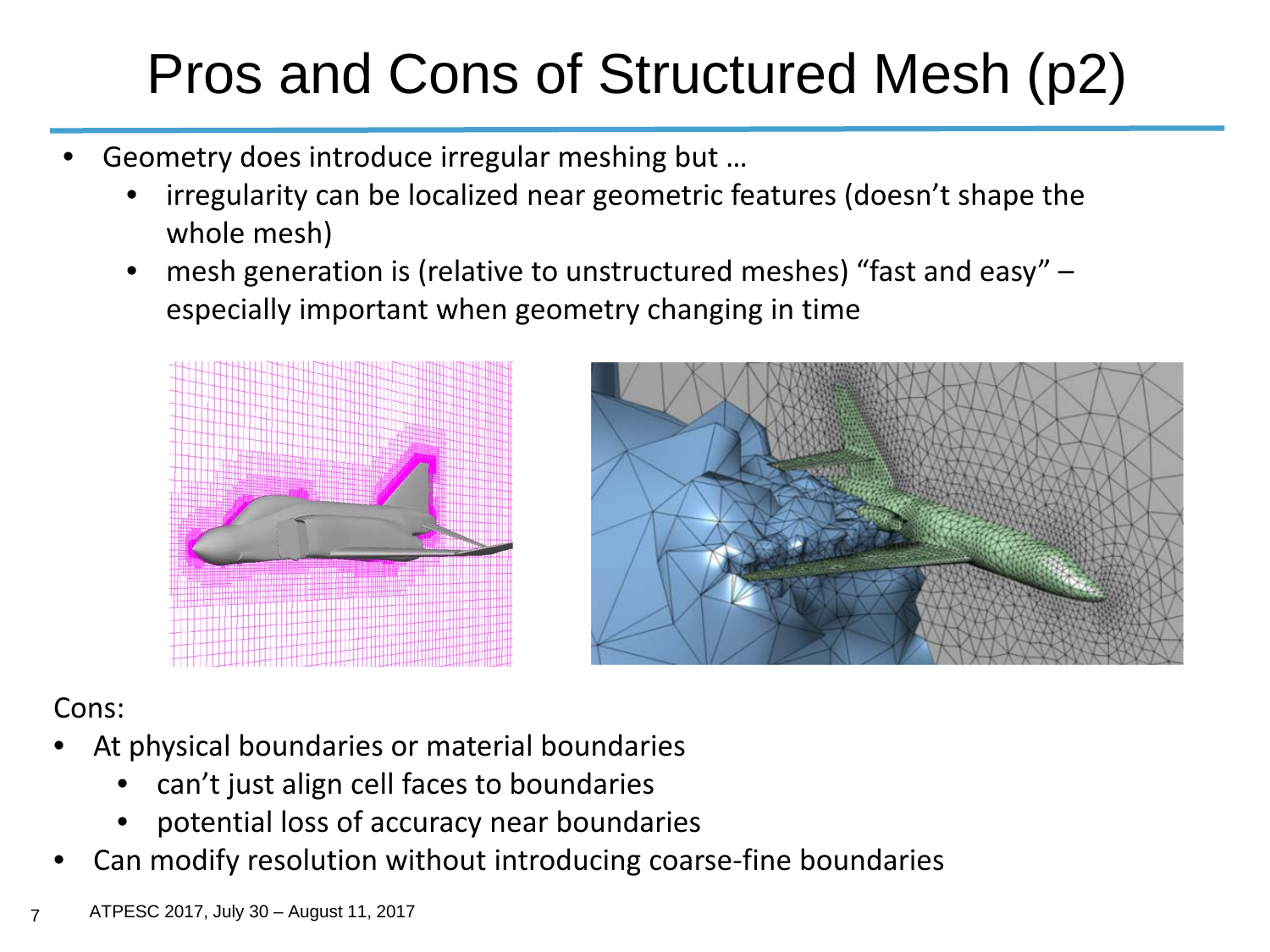## Pros and Cons of Structured Mesh (p2)

- Geometry does introduce irregular meshing but ...
	- irregularity can be localized near geometric features (doesn't shape the whole mesh)
	- mesh generation is (relative to unstructured meshes) "fast and easy" especially important when geometry changing in time





#### Cons:

- At physical boundaries or material boundaries
	- can't just align cell faces to boundaries
	- potential loss of accuracy near boundaries
- Can modify resolution without introducing coarse-fine boundaries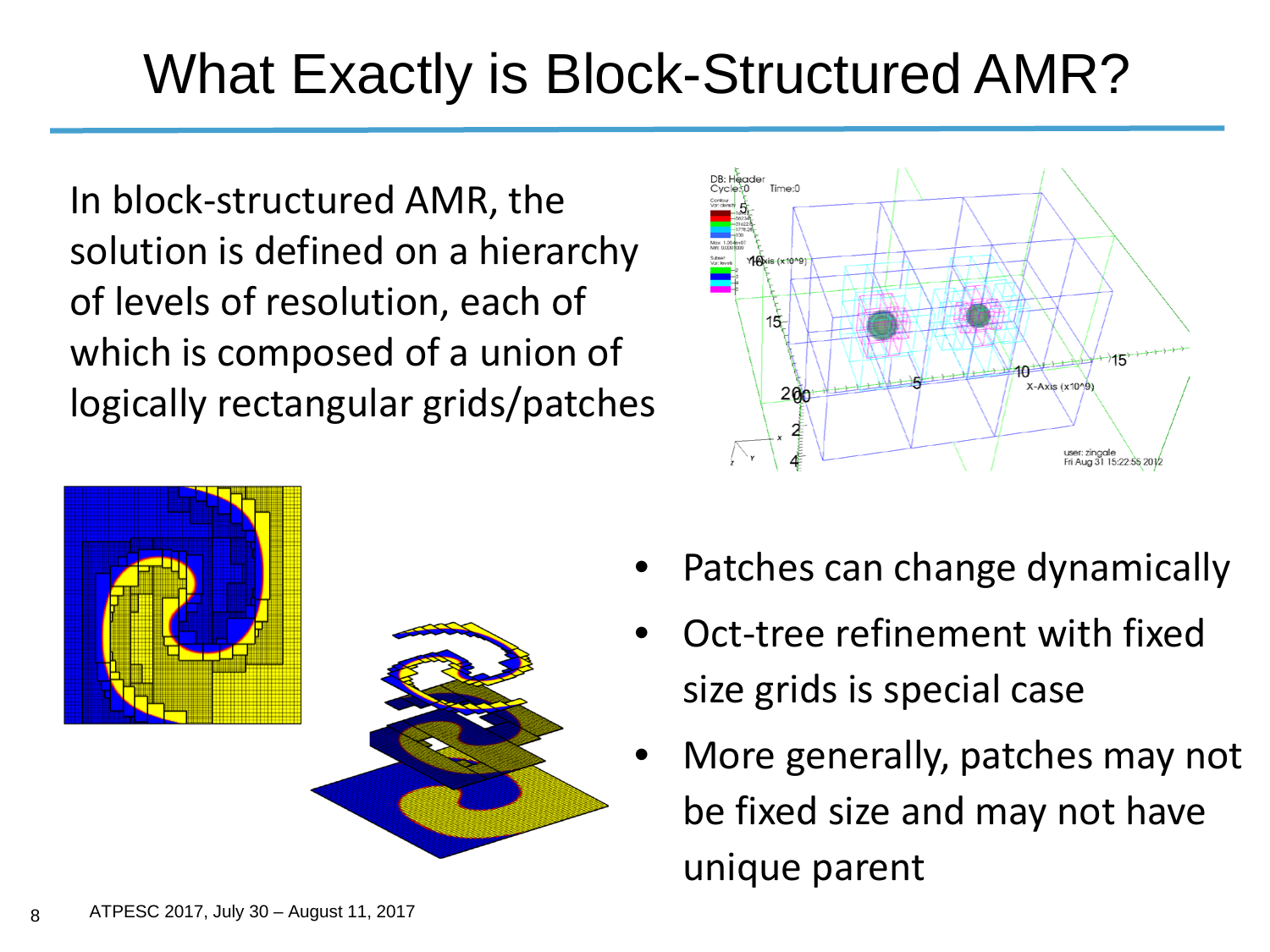### What Exactly is Block-Structured AMR?

In block-structured AMR, the solution is defined on a hierarchy of levels of resolution, each of which is composed of a union of logically rectangular grids/patches





- Patches can change dynamically
- Oct-tree refinement with fixed size grids is special case
- More generally, patches may not be fixed size and may not have unique parent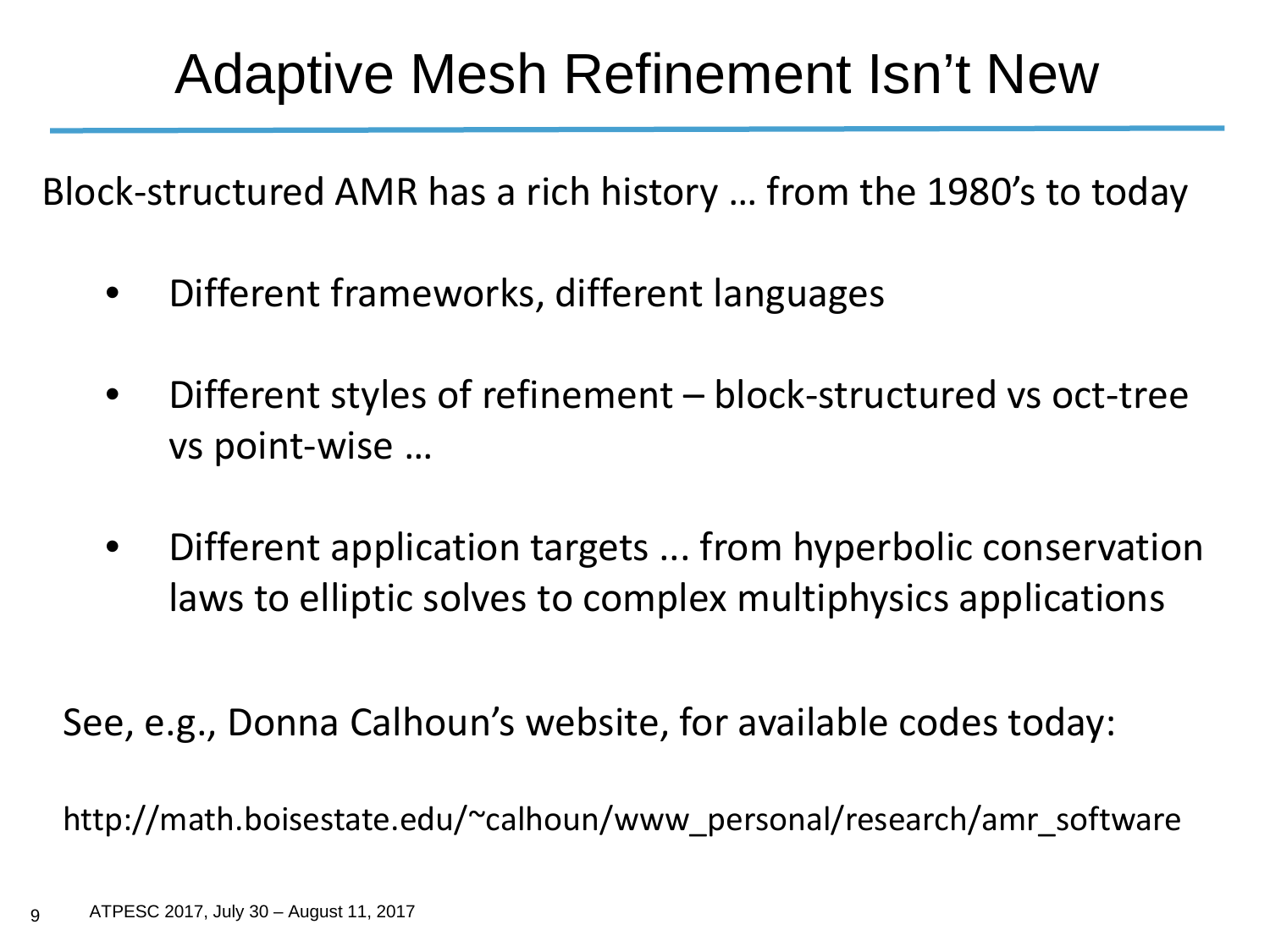#### Adaptive Mesh Refinement Isn't New

Block-structured AMR has a rich history … from the 1980's to today

- Different frameworks, different languages
- Different styles of refinement block-structured vs oct-tree vs point-wise …
- Different application targets ... from hyperbolic conservation laws to elliptic solves to complex multiphysics applications

See, e.g., Donna Calhoun's website, for available codes today:

http://math.boisestate.edu/~calhoun/www\_personal/research/amr\_software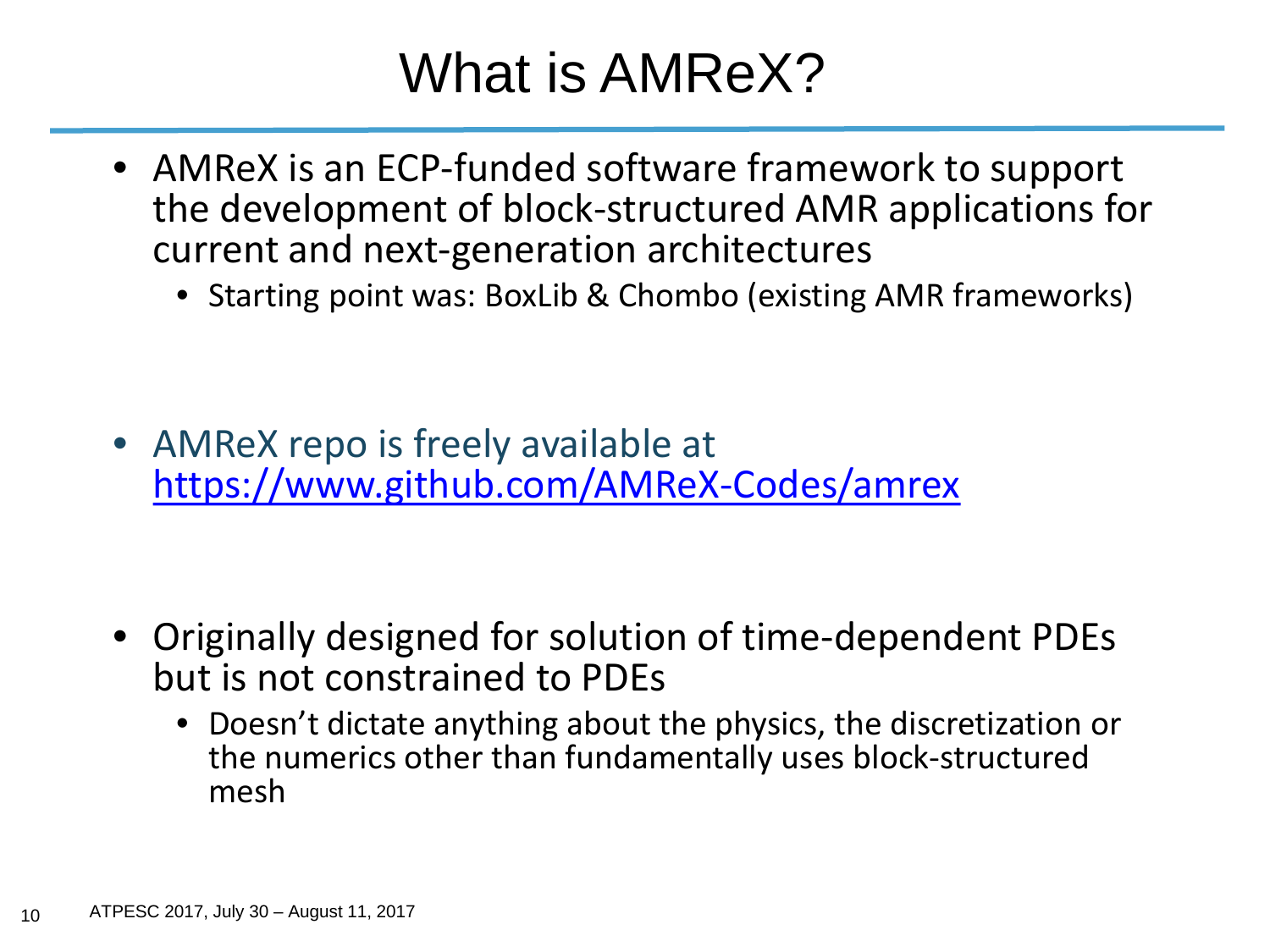#### What is AMReX?

- AMReX is an ECP-funded software framework to support the development of block-structured AMR applications for current and next-generation architectures
	- Starting point was: BoxLib & Chombo (existing AMR frameworks)

• AMReX repo is freely available at <https://www.github.com/AMReX-Codes/amrex>

- Originally designed for solution of time-dependent PDEs but is not constrained to PDEs
	- Doesn't dictate anything about the physics, the discretization or the numerics other than fundamentally uses block-structured mesh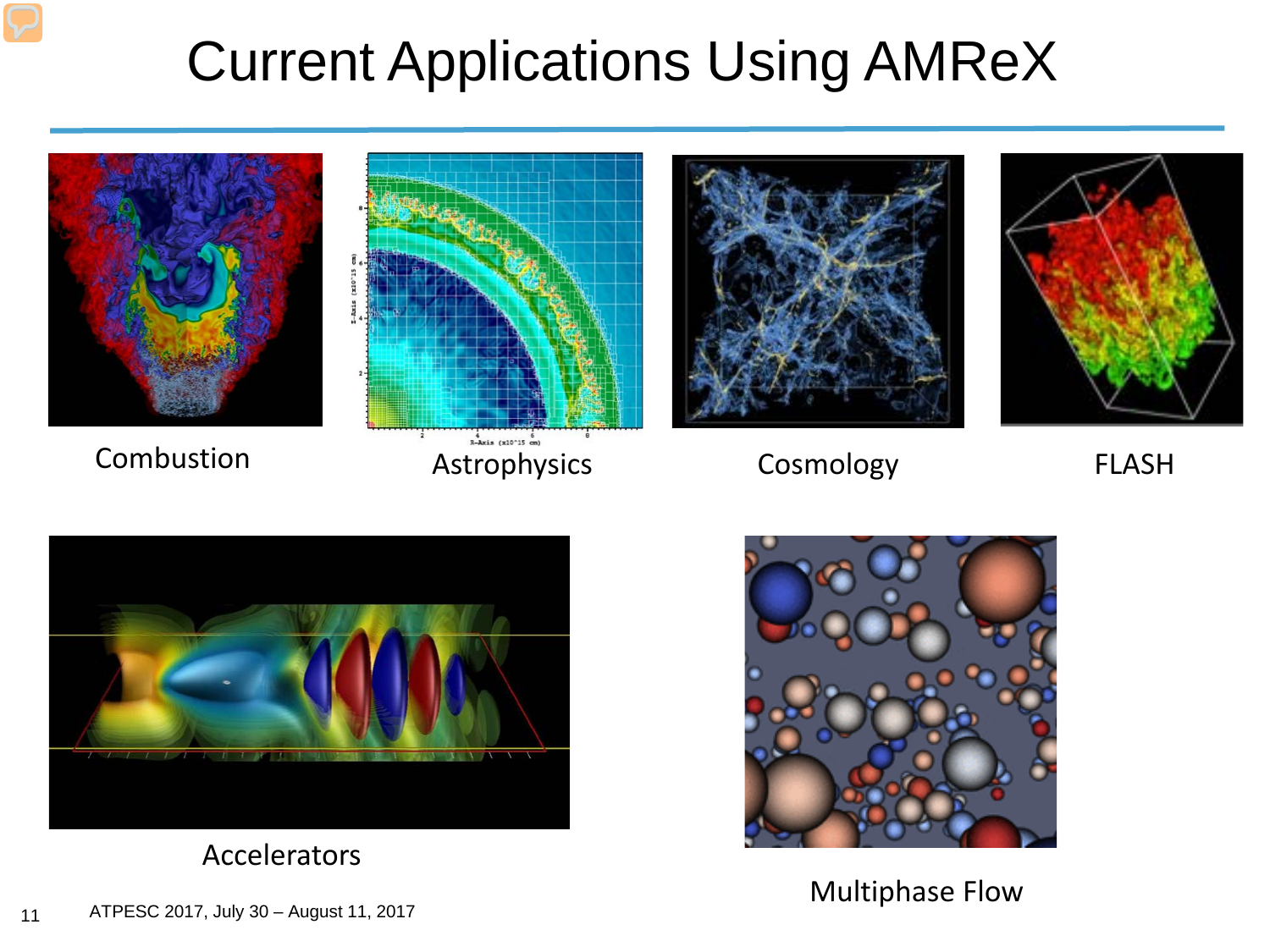#### Current Applications Using AMReX





Combustion Astrophysics



Cosmology



FLASH



Accelerators



Multiphase Flow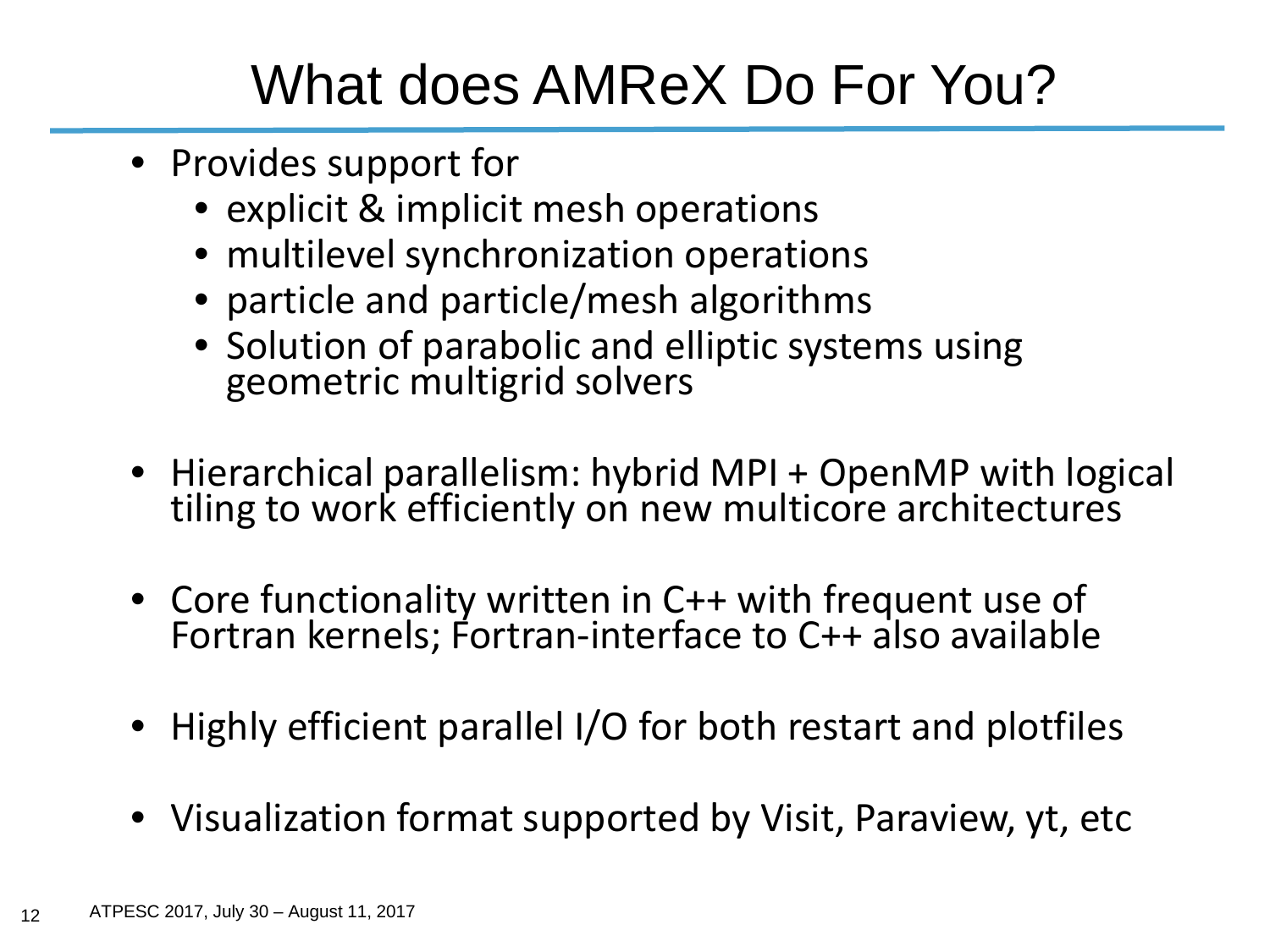#### What does AMReX Do For You?

- Provides support for
	- explicit & implicit mesh operations
	- multilevel synchronization operations
	- particle and particle/mesh algorithms
	- Solution of parabolic and elliptic systems using geometric multigrid solvers
- Hierarchical parallelism: hybrid MPI + OpenMP with logical<br>tiling to work efficiently on new multicore architectures
- Core functionality written in C++ with frequent use of Fortran kernels; Fortran-interface to C++ also available
- Highly efficient parallel I/O for both restart and plotfiles
- Visualization format supported by Visit, Paraview, yt, etc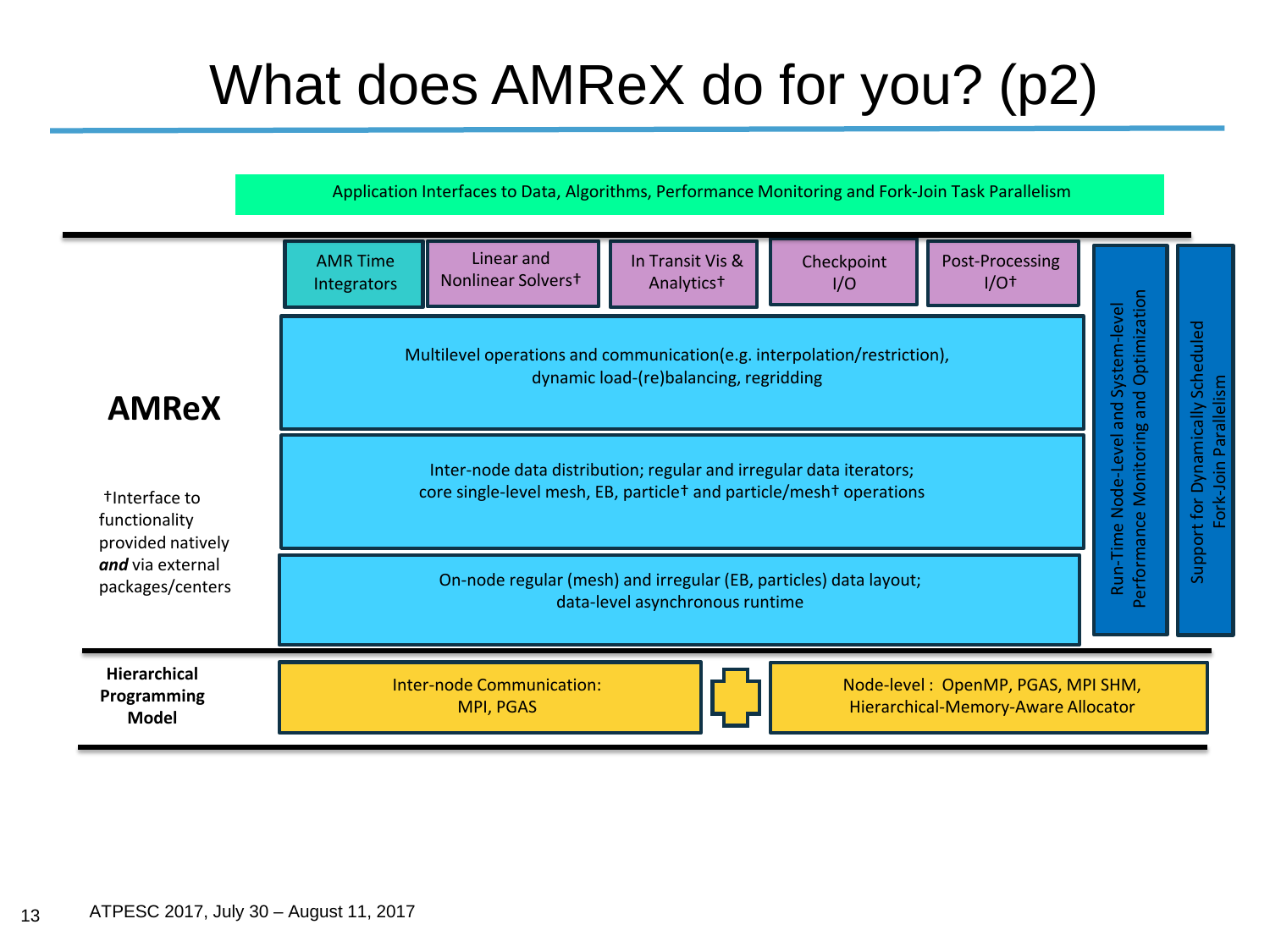### What does AMReX do for you? (p2)

Application Interfaces to Data, Algorithms, Performance Monitoring and Fork-Join Task Parallelism

|                                                                                             | <b>AMR Time</b><br><b>Integrators</b>                                                                                                                              | Linear and<br>Nonlinear Solverst                                                                                           | In Transit Vis &<br>Analytics <sup>+</sup> | Checkpoint<br>I/O | Post-Processing<br>$I/O+$ |                                                                                  |                                                  |
|---------------------------------------------------------------------------------------------|--------------------------------------------------------------------------------------------------------------------------------------------------------------------|----------------------------------------------------------------------------------------------------------------------------|--------------------------------------------|-------------------|---------------------------|----------------------------------------------------------------------------------|--------------------------------------------------|
| <b>AMReX</b>                                                                                | Multilevel operations and communication(e.g. interpolation/restriction),<br>dynamic load-(re)balancing, regridding                                                 |                                                                                                                            |                                            |                   |                           | kun-I ime Node-Level and System-level<br>Performance Monitoring and Optimization | Scheduled                                        |
| tInterface to<br>functionality<br>provided natively<br>and via external<br>packages/centers | Inter-node data distribution; regular and irregular data iterators;<br>core single-level mesh, EB, particle <sup>+</sup> and particle/mesh <sup>+</sup> operations |                                                                                                                            |                                            |                   |                           |                                                                                  | Fork-Join Parallelism<br>Support for Dynamically |
|                                                                                             | On-node regular (mesh) and irregular (EB, particles) data layout;<br>data-level asynchronous runtime                                                               |                                                                                                                            |                                            |                   |                           |                                                                                  |                                                  |
| Hierarchical<br>Programming<br><b>Model</b>                                                 |                                                                                                                                                                    | <b>Inter-node Communication:</b><br>Node-level: OpenMP, PGAS, MPI SHM,<br>Hierarchical-Memory-Aware Allocator<br>MPI, PGAS |                                            |                   |                           |                                                                                  |                                                  |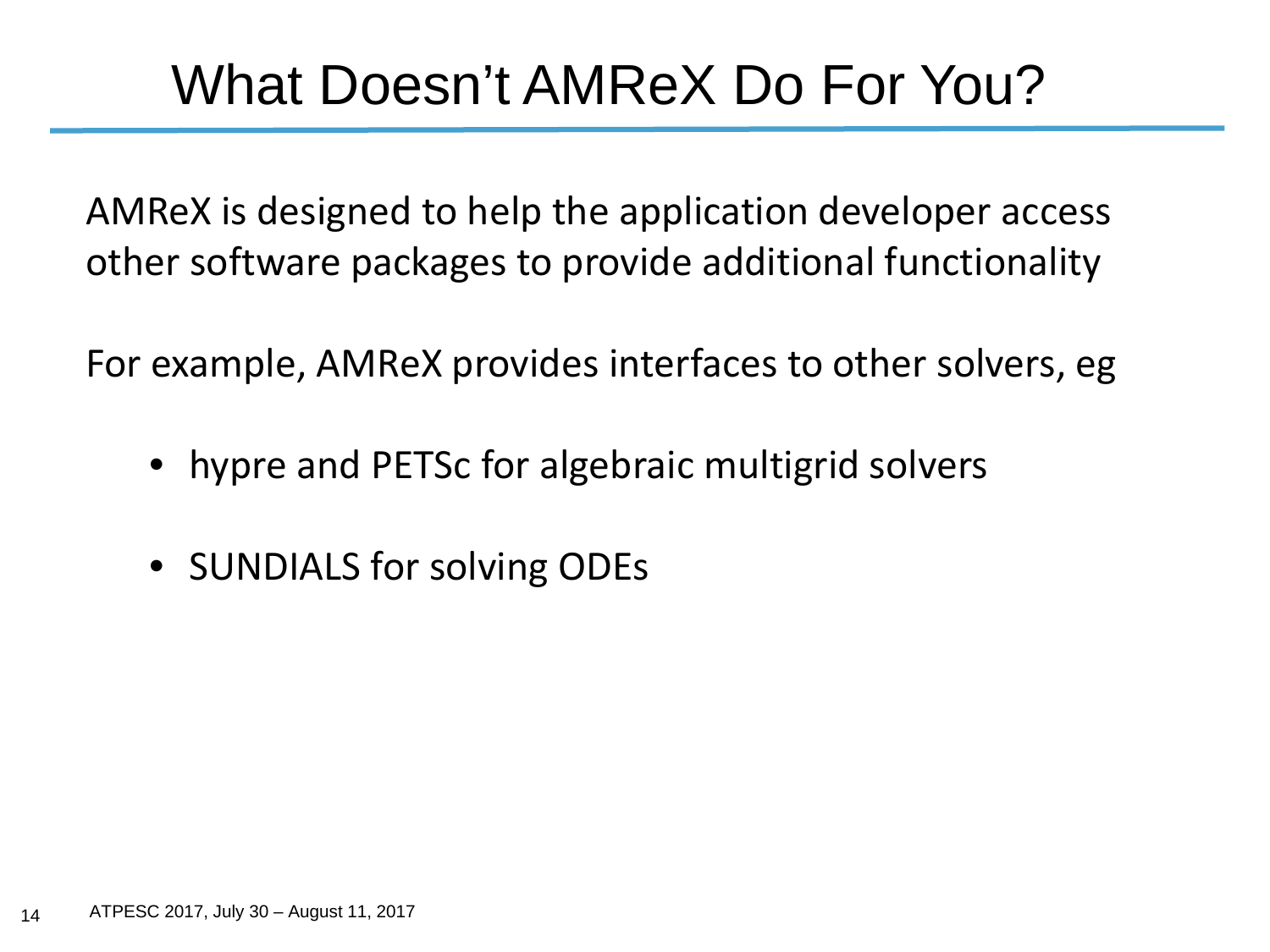#### What Doesn't AMReX Do For You?

AMReX is designed to help the application developer access other software packages to provide additional functionality

For example, AMReX provides interfaces to other solvers, eg

- hypre and PETSc for algebraic multigrid solvers
- SUNDIALS for solving ODEs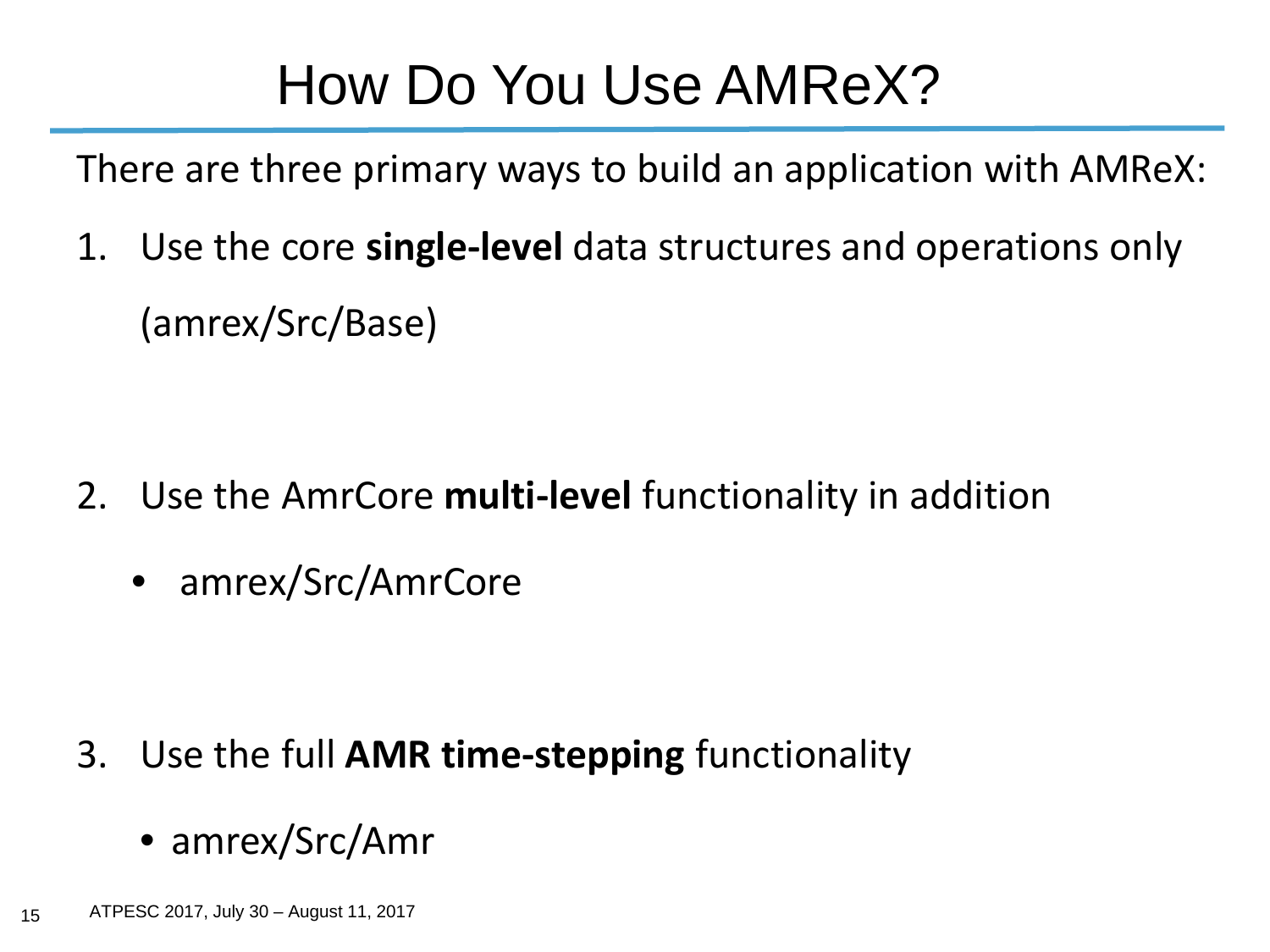#### How Do You Use AMReX?

There are three primary ways to build an application with AMReX:

1. Use the core **single-level** data structures and operations only (amrex/Src/Base)

- 2. Use the AmrCore **multi-level** functionality in addition
	- amrex/Src/AmrCore

- 3. Use the full **AMR time-stepping** functionality
	- amrex/Src/Amr